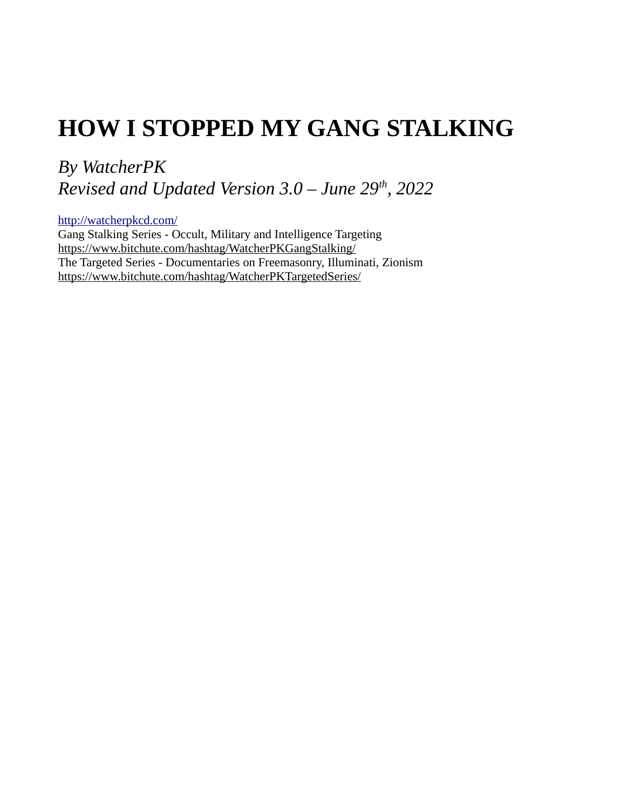# **HOW I STOPPED MY GANG STALKING**

*By WatcherPK Revised and Updated Version 3.0 – June 29th, 2022*

<http://watcherpkcd.com/> Gang Stalking Series - Occult, Military and Intelligence Targeting <https://www.bitchute.com/hashtag/WatcherPKGangStalking/> The Targeted Series - Documentaries on Freemasonry, Illuminati, Zionism <https://www.bitchute.com/hashtag/WatcherPKTargetedSeries/>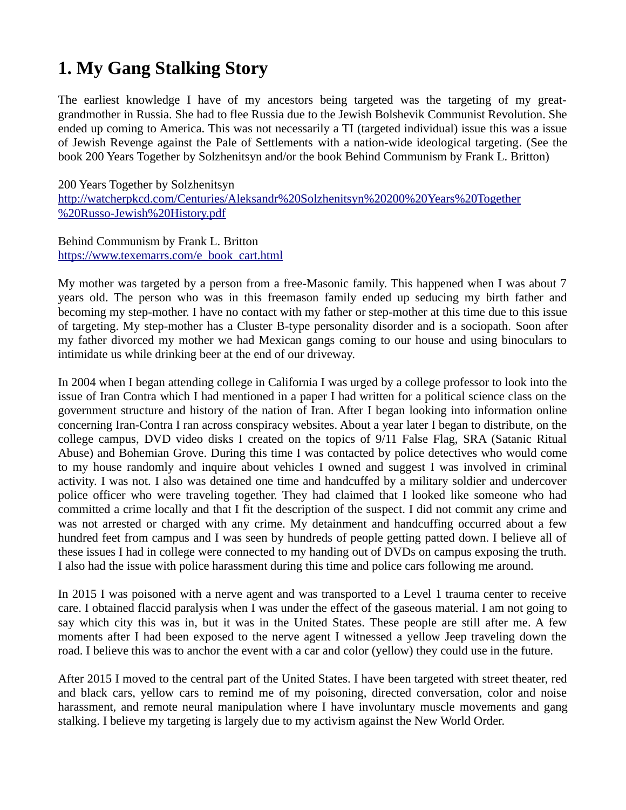# **1. My Gang Stalking Story**

The earliest knowledge I have of my ancestors being targeted was the targeting of my greatgrandmother in Russia. She had to flee Russia due to the Jewish Bolshevik Communist Revolution. She ended up coming to America. This was not necessarily a TI (targeted individual) issue this was a issue of Jewish Revenge against the Pale of Settlements with a nation-wide ideological targeting. (See the book 200 Years Together by Solzhenitsyn and/or the book Behind Communism by Frank L. Britton)

200 Years Together by Solzhenitsyn [http://watcherpkcd.com/Centuries/Aleksandr%20Solzhenitsyn%20200%20Years%20Together](http://watcherpkcd.com/Centuries/Aleksandr%20Solzhenitsyn%20200%20Years%20Together%20Russo-Jewish%20History.pdf) [%20Russo-Jewish%20History.pdf](http://watcherpkcd.com/Centuries/Aleksandr%20Solzhenitsyn%20200%20Years%20Together%20Russo-Jewish%20History.pdf)

Behind Communism by Frank L. Britton [https://www.texemarrs.com/e\\_book\\_cart.html](https://www.texemarrs.com/e_book_cart.html)

My mother was targeted by a person from a free-Masonic family. This happened when I was about 7 years old. The person who was in this freemason family ended up seducing my birth father and becoming my step-mother. I have no contact with my father or step-mother at this time due to this issue of targeting. My step-mother has a Cluster B-type personality disorder and is a sociopath. Soon after my father divorced my mother we had Mexican gangs coming to our house and using binoculars to intimidate us while drinking beer at the end of our driveway.

In 2004 when I began attending college in California I was urged by a college professor to look into the issue of Iran Contra which I had mentioned in a paper I had written for a political science class on the government structure and history of the nation of Iran. After I began looking into information online concerning Iran-Contra I ran across conspiracy websites. About a year later I began to distribute, on the college campus, DVD video disks I created on the topics of 9/11 False Flag, SRA (Satanic Ritual Abuse) and Bohemian Grove. During this time I was contacted by police detectives who would come to my house randomly and inquire about vehicles I owned and suggest I was involved in criminal activity. I was not. I also was detained one time and handcuffed by a military soldier and undercover police officer who were traveling together. They had claimed that I looked like someone who had committed a crime locally and that I fit the description of the suspect. I did not commit any crime and was not arrested or charged with any crime. My detainment and handcuffing occurred about a few hundred feet from campus and I was seen by hundreds of people getting patted down. I believe all of these issues I had in college were connected to my handing out of DVDs on campus exposing the truth. I also had the issue with police harassment during this time and police cars following me around.

In 2015 I was poisoned with a nerve agent and was transported to a Level 1 trauma center to receive care. I obtained flaccid paralysis when I was under the effect of the gaseous material. I am not going to say which city this was in, but it was in the United States. These people are still after me. A few moments after I had been exposed to the nerve agent I witnessed a yellow Jeep traveling down the road. I believe this was to anchor the event with a car and color (yellow) they could use in the future.

After 2015 I moved to the central part of the United States. I have been targeted with street theater, red and black cars, yellow cars to remind me of my poisoning, directed conversation, color and noise harassment, and remote neural manipulation where I have involuntary muscle movements and gang stalking. I believe my targeting is largely due to my activism against the New World Order.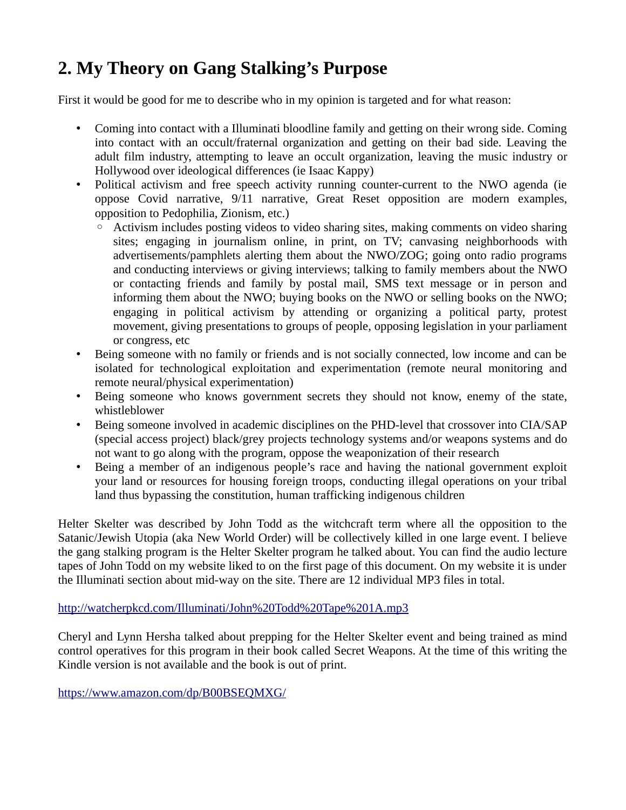# **2. My Theory on Gang Stalking's Purpose**

First it would be good for me to describe who in my opinion is targeted and for what reason:

- Coming into contact with a Illuminati bloodline family and getting on their wrong side. Coming into contact with an occult/fraternal organization and getting on their bad side. Leaving the adult film industry, attempting to leave an occult organization, leaving the music industry or Hollywood over ideological differences (ie Isaac Kappy)
- Political activism and free speech activity running counter-current to the NWO agenda (ie oppose Covid narrative, 9/11 narrative, Great Reset opposition are modern examples, opposition to Pedophilia, Zionism, etc.)
	- Activism includes posting videos to video sharing sites, making comments on video sharing sites; engaging in journalism online, in print, on TV; canvasing neighborhoods with advertisements/pamphlets alerting them about the NWO/ZOG; going onto radio programs and conducting interviews or giving interviews; talking to family members about the NWO or contacting friends and family by postal mail, SMS text message or in person and informing them about the NWO; buying books on the NWO or selling books on the NWO; engaging in political activism by attending or organizing a political party, protest movement, giving presentations to groups of people, opposing legislation in your parliament or congress, etc
- Being someone with no family or friends and is not socially connected, low income and can be isolated for technological exploitation and experimentation (remote neural monitoring and remote neural/physical experimentation)
- Being someone who knows government secrets they should not know, enemy of the state, whistleblower
- Being someone involved in academic disciplines on the PHD-level that crossover into CIA/SAP (special access project) black/grey projects technology systems and/or weapons systems and do not want to go along with the program, oppose the weaponization of their research
- Being a member of an indigenous people's race and having the national government exploit your land or resources for housing foreign troops, conducting illegal operations on your tribal land thus bypassing the constitution, human trafficking indigenous children

Helter Skelter was described by John Todd as the witchcraft term where all the opposition to the Satanic/Jewish Utopia (aka New World Order) will be collectively killed in one large event. I believe the gang stalking program is the Helter Skelter program he talked about. You can find the audio lecture tapes of John Todd on my website liked to on the first page of this document. On my website it is under the Illuminati section about mid-way on the site. There are 12 individual MP3 files in total.

#### <http://watcherpkcd.com/Illuminati/John%20Todd%20Tape%201A.mp3>

Cheryl and Lynn Hersha talked about prepping for the Helter Skelter event and being trained as mind control operatives for this program in their book called Secret Weapons. At the time of this writing the Kindle version is not available and the book is out of print.

<https://www.amazon.com/dp/B00BSEQMXG/>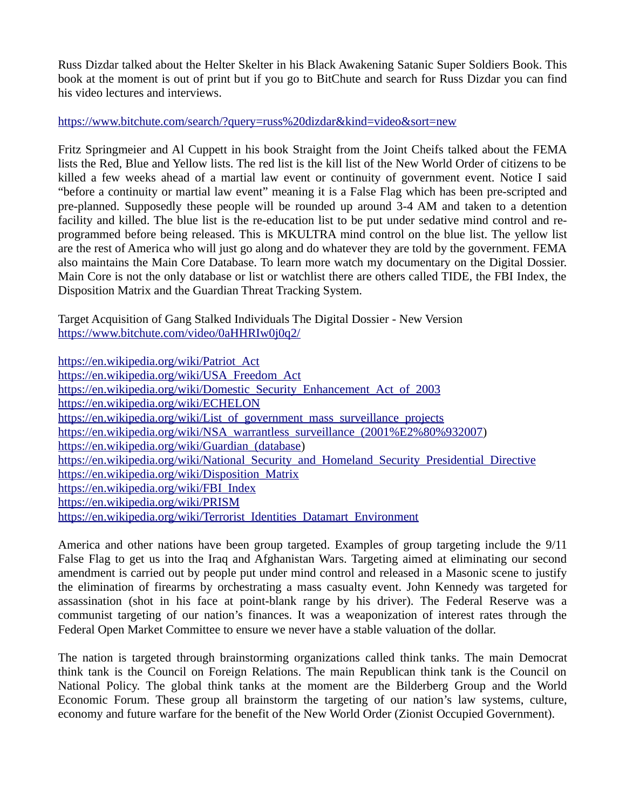Russ Dizdar talked about the Helter Skelter in his Black Awakening Satanic Super Soldiers Book. This book at the moment is out of print but if you go to BitChute and search for Russ Dizdar you can find his video lectures and interviews.

### <https://www.bitchute.com/search/?query=russ%20dizdar&kind=video&sort=new>

Fritz Springmeier and Al Cuppett in his book Straight from the Joint Cheifs talked about the FEMA lists the Red, Blue and Yellow lists. The red list is the kill list of the New World Order of citizens to be killed a few weeks ahead of a martial law event or continuity of government event. Notice I said "before a continuity or martial law event" meaning it is a False Flag which has been pre-scripted and pre-planned. Supposedly these people will be rounded up around 3-4 AM and taken to a detention facility and killed. The blue list is the re-education list to be put under sedative mind control and reprogrammed before being released. This is MKULTRA mind control on the blue list. The yellow list are the rest of America who will just go along and do whatever they are told by the government. FEMA also maintains the Main Core Database. To learn more watch my documentary on the Digital Dossier. Main Core is not the only database or list or watchlist there are others called TIDE, the FBI Index, the Disposition Matrix and the Guardian Threat Tracking System.

Target Acquisition of Gang Stalked Individuals The Digital Dossier - New Version <https://www.bitchute.com/video/0aHHRIw0j0q2/>

[https://en.wikipedia.org/wiki/Patriot\\_Act](https://en.wikipedia.org/wiki/Patriot_Act) [https://en.wikipedia.org/wiki/USA\\_Freedom\\_Act](https://en.wikipedia.org/wiki/USA_Freedom_Act) [https://en.wikipedia.org/wiki/Domestic\\_Security\\_Enhancement\\_Act\\_of\\_2003](https://en.wikipedia.org/wiki/Domestic_Security_Enhancement_Act_of_2003) <https://en.wikipedia.org/wiki/ECHELON> [https://en.wikipedia.org/wiki/List\\_of\\_government\\_mass\\_surveillance\\_projects](https://en.wikipedia.org/wiki/List_of_government_mass_surveillance_projects) [https://en.wikipedia.org/wiki/NSA\\_warrantless\\_surveillance\\_\(2001%E2%80%932007](https://en.wikipedia.org/wiki/NSA_warrantless_surveillance_(2001%E2%80%932007)) https://en.wikipedia.org/wiki/Guardian (database) https://en.wikipedia.org/wiki/National Security and Homeland Security Presidential Directive [https://en.wikipedia.org/wiki/Disposition\\_Matrix](https://en.wikipedia.org/wiki/Disposition_Matrix) [https://en.wikipedia.org/wiki/FBI\\_Index](https://en.wikipedia.org/wiki/FBI_Index) <https://en.wikipedia.org/wiki/PRISM> [https://en.wikipedia.org/wiki/Terrorist\\_Identities\\_Datamart\\_Environment](https://en.wikipedia.org/wiki/Terrorist_Identities_Datamart_Environment)

America and other nations have been group targeted. Examples of group targeting include the 9/11 False Flag to get us into the Iraq and Afghanistan Wars. Targeting aimed at eliminating our second amendment is carried out by people put under mind control and released in a Masonic scene to justify the elimination of firearms by orchestrating a mass casualty event. John Kennedy was targeted for assassination (shot in his face at point-blank range by his driver). The Federal Reserve was a communist targeting of our nation's finances. It was a weaponization of interest rates through the Federal Open Market Committee to ensure we never have a stable valuation of the dollar.

The nation is targeted through brainstorming organizations called think tanks. The main Democrat think tank is the Council on Foreign Relations. The main Republican think tank is the Council on National Policy. The global think tanks at the moment are the Bilderberg Group and the World Economic Forum. These group all brainstorm the targeting of our nation's law systems, culture, economy and future warfare for the benefit of the New World Order (Zionist Occupied Government).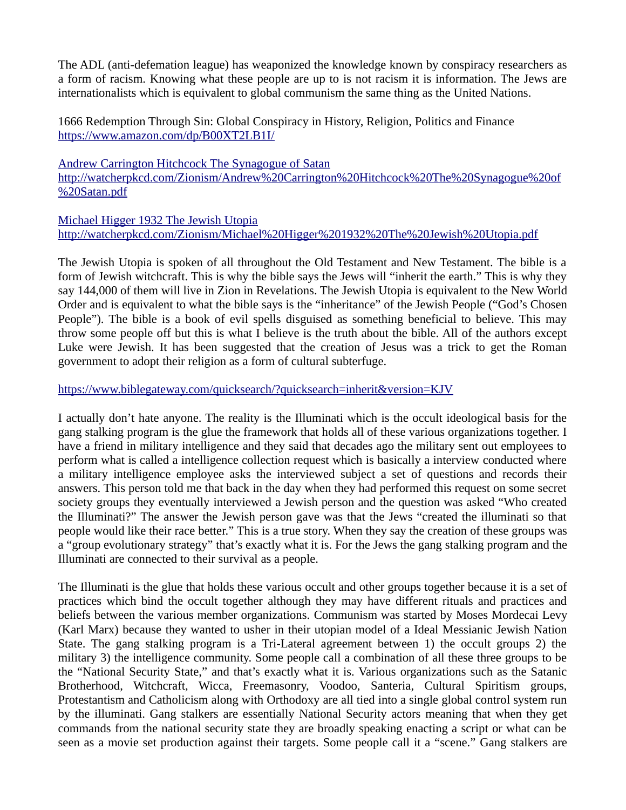The ADL (anti-defemation league) has weaponized the knowledge known by conspiracy researchers as a form of racism. Knowing what these people are up to is not racism it is information. The Jews are internationalists which is equivalent to global communism the same thing as the United Nations.

1666 Redemption Through Sin: Global Conspiracy in History, Religion, Politics and Finance <https://www.amazon.com/dp/B00XT2LB1I/>

[Andrew Carrington Hitchcock The Synagogue of Satan](http://watcherpkcd.com/Zionism/Andrew%20Carrington%20Hitchcock%20The%20Synagogue%20of%20Satan.pdf) [http://watcherpkcd.com/Zionism/Andrew%20Carrington%20Hitchcock%20The%20Synagogue%20of](http://watcherpkcd.com/Zionism/Andrew%20Carrington%20Hitchcock%20The%20Synagogue%20of%20Satan.pdf) [%20Satan.pdf](http://watcherpkcd.com/Zionism/Andrew%20Carrington%20Hitchcock%20The%20Synagogue%20of%20Satan.pdf)

[Michael Higger 1932 The Jewish Utopia](http://watcherpkcd.com/Zionism/Michael%20Higger%201932%20The%20Jewish%20Utopia.pdf) <http://watcherpkcd.com/Zionism/Michael%20Higger%201932%20The%20Jewish%20Utopia.pdf>

The Jewish Utopia is spoken of all throughout the Old Testament and New Testament. The bible is a form of Jewish witchcraft. This is why the bible says the Jews will "inherit the earth." This is why they say 144,000 of them will live in Zion in Revelations. The Jewish Utopia is equivalent to the New World Order and is equivalent to what the bible says is the "inheritance" of the Jewish People ("God's Chosen People"). The bible is a book of evil spells disguised as something beneficial to believe. This may throw some people off but this is what I believe is the truth about the bible. All of the authors except Luke were Jewish. It has been suggested that the creation of Jesus was a trick to get the Roman government to adopt their religion as a form of cultural subterfuge.

### <https://www.biblegateway.com/quicksearch/?quicksearch=inherit&version=KJV>

I actually don't hate anyone. The reality is the Illuminati which is the occult ideological basis for the gang stalking program is the glue the framework that holds all of these various organizations together. I have a friend in military intelligence and they said that decades ago the military sent out employees to perform what is called a intelligence collection request which is basically a interview conducted where a military intelligence employee asks the interviewed subject a set of questions and records their answers. This person told me that back in the day when they had performed this request on some secret society groups they eventually interviewed a Jewish person and the question was asked "Who created the Illuminati?" The answer the Jewish person gave was that the Jews "created the illuminati so that people would like their race better." This is a true story. When they say the creation of these groups was a "group evolutionary strategy" that's exactly what it is. For the Jews the gang stalking program and the Illuminati are connected to their survival as a people.

The Illuminati is the glue that holds these various occult and other groups together because it is a set of practices which bind the occult together although they may have different rituals and practices and beliefs between the various member organizations. Communism was started by Moses Mordecai Levy (Karl Marx) because they wanted to usher in their utopian model of a Ideal Messianic Jewish Nation State. The gang stalking program is a Tri-Lateral agreement between 1) the occult groups 2) the military 3) the intelligence community. Some people call a combination of all these three groups to be the "National Security State," and that's exactly what it is. Various organizations such as the Satanic Brotherhood, Witchcraft, Wicca, Freemasonry, Voodoo, Santeria, Cultural Spiritism groups, Protestantism and Catholicism along with Orthodoxy are all tied into a single global control system run by the illuminati. Gang stalkers are essentially National Security actors meaning that when they get commands from the national security state they are broadly speaking enacting a script or what can be seen as a movie set production against their targets. Some people call it a "scene." Gang stalkers are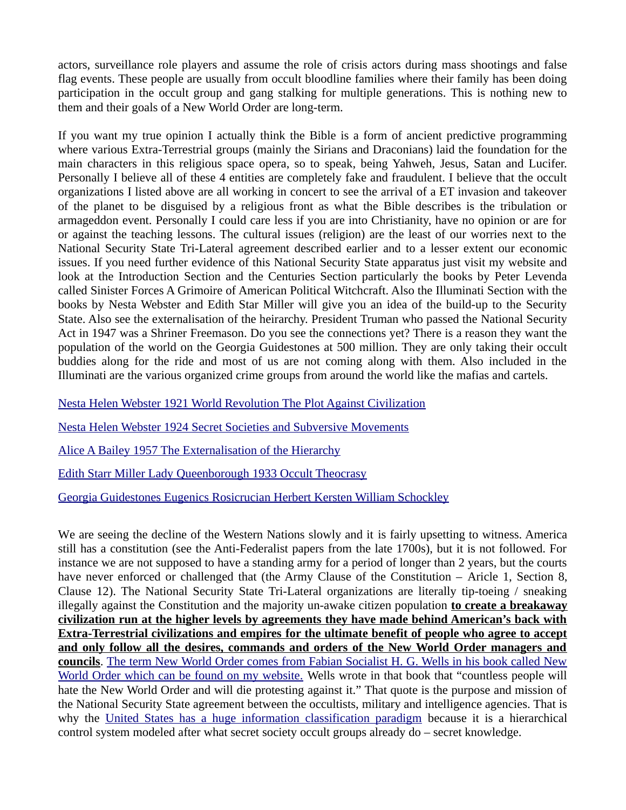actors, surveillance role players and assume the role of crisis actors during mass shootings and false flag events. These people are usually from occult bloodline families where their family has been doing participation in the occult group and gang stalking for multiple generations. This is nothing new to them and their goals of a New World Order are long-term.

If you want my true opinion I actually think the Bible is a form of ancient predictive programming where various Extra-Terrestrial groups (mainly the Sirians and Draconians) laid the foundation for the main characters in this religious space opera, so to speak, being Yahweh, Jesus, Satan and Lucifer. Personally I believe all of these 4 entities are completely fake and fraudulent. I believe that the occult organizations I listed above are all working in concert to see the arrival of a ET invasion and takeover of the planet to be disguised by a religious front as what the Bible describes is the tribulation or armageddon event. Personally I could care less if you are into Christianity, have no opinion or are for or against the teaching lessons. The cultural issues (religion) are the least of our worries next to the National Security State Tri-Lateral agreement described earlier and to a lesser extent our economic issues. If you need further evidence of this National Security State apparatus just visit my website and look at the Introduction Section and the Centuries Section particularly the books by Peter Levenda called Sinister Forces A Grimoire of American Political Witchcraft. Also the Illuminati Section with the books by Nesta Webster and Edith Star Miller will give you an idea of the build-up to the Security State. Also see the externalisation of the heirarchy. President Truman who passed the National Security Act in 1947 was a Shriner Freemason. Do you see the connections yet? There is a reason they want the population of the world on the Georgia Guidestones at 500 million. They are only taking their occult buddies along for the ride and most of us are not coming along with them. Also included in the Illuminati are the various organized crime groups from around the world like the mafias and cartels.

[Nesta Helen Webster 1921 World Revolution The Plot Against Civilization](http://watcherpkcd.com/Illuminati/Nesta%20Helen%20Webster%201921%20World%20Revolution%20The%20Plot%20Against%20Civilization.pdf)

[Nesta Helen Webster 1924 Secret Societies and Subversive Movements](http://watcherpkcd.com/Illuminati/Nesta%20Helen%20Webster%201924%20Secret%20Societies%20and%20Subversive%20Movements.pdf)

[Alice A Bailey 1957 The Externalisation of the Hierarchy](http://watcherpkcd.com/Illuminati/Alice%20A%20Bailey%201957%20The%20Externalisation%20of%20the%20Hierarchy.pdf)

[Edith Starr Miller Lady Queenborough 1933 Occult Theocrasy](http://watcherpkcd.com/Illuminati/Edith%20Starr%20Miller%20Lady%20Queenborough%201933%20Occult%20Theocrasy.pdf)

[Georgia Guidestones Eugenics Rosicrucian Herbert Kersten William Schockley](https://www.bitchute.com/video/RQLumiJUG073/)

We are seeing the decline of the Western Nations slowly and it is fairly upsetting to witness. America still has a constitution (see the Anti-Federalist papers from the late 1700s), but it is not followed. For instance we are not supposed to have a standing army for a period of longer than 2 years, but the courts have never enforced or challenged that (the Army Clause of the Constitution – Aricle 1, Section 8, Clause 12). The National Security State Tri-Lateral organizations are literally tip-toeing / sneaking illegally against the Constitution and the majority un-awake citizen population **to create a breakaway civilization run at the higher levels by agreements they have made behind American's back with Extra-Terrestrial civilizations and empires for the ultimate benefit of people who agree to accept and only follow all the desires, commands and orders of the New World Order managers and councils**. [The term New World Order comes from Fabian Socialist H. G. Wells in his book called New](http://watcherpkcd.com/Centuries/H%20G%20Wells%201940%20The%20New%20World%20Order.pdf) [World Order which can be found on my website.](http://watcherpkcd.com/Centuries/H%20G%20Wells%201940%20The%20New%20World%20Order.pdf) Wells wrote in that book that "countless people will hate the New World Order and will die protesting against it." That quote is the purpose and mission of the National Security State agreement between the occultists, military and intelligence agencies. That is why the [United States has a huge information classification paradigm](https://en.wikipedia.org/wiki/Classified_information_in_the_United_States) because it is a hierarchical control system modeled after what secret society occult groups already do – secret knowledge.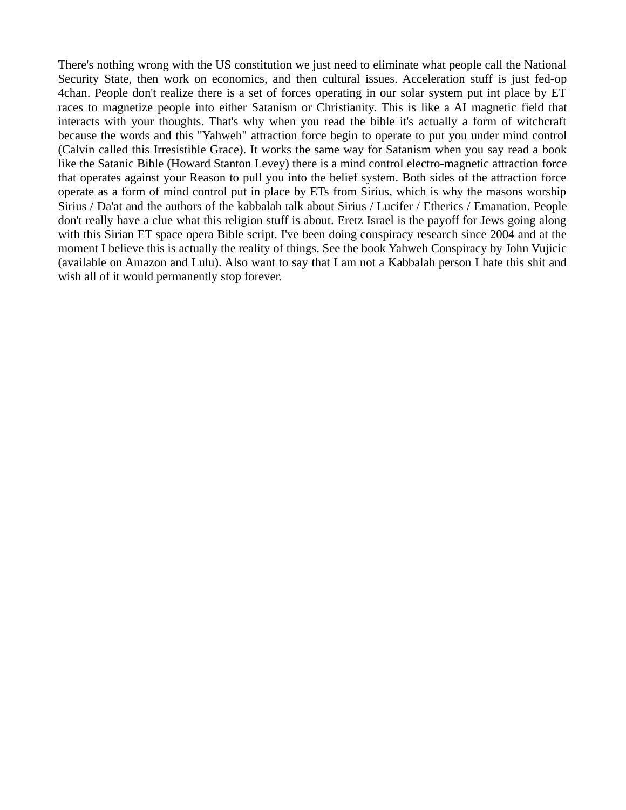There's nothing wrong with the US constitution we just need to eliminate what people call the National Security State, then work on economics, and then cultural issues. Acceleration stuff is just fed-op 4chan. People don't realize there is a set of forces operating in our solar system put int place by ET races to magnetize people into either Satanism or Christianity. This is like a AI magnetic field that interacts with your thoughts. That's why when you read the bible it's actually a form of witchcraft because the words and this "Yahweh" attraction force begin to operate to put you under mind control (Calvin called this Irresistible Grace). It works the same way for Satanism when you say read a book like the Satanic Bible (Howard Stanton Levey) there is a mind control electro-magnetic attraction force that operates against your Reason to pull you into the belief system. Both sides of the attraction force operate as a form of mind control put in place by ETs from Sirius, which is why the masons worship Sirius / Da'at and the authors of the kabbalah talk about Sirius / Lucifer / Etherics / Emanation. People don't really have a clue what this religion stuff is about. Eretz Israel is the payoff for Jews going along with this Sirian ET space opera Bible script. I've been doing conspiracy research since 2004 and at the moment I believe this is actually the reality of things. See the book Yahweh Conspiracy by John Vujicic (available on Amazon and Lulu). Also want to say that I am not a Kabbalah person I hate this shit and wish all of it would permanently stop forever.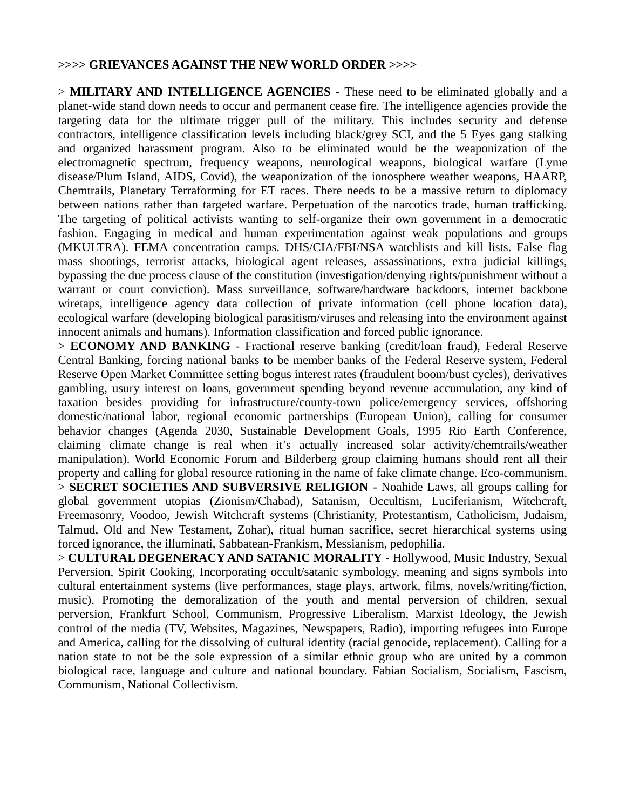#### **>>>> GRIEVANCES AGAINST THE NEW WORLD ORDER >>>>**

> **MILITARY AND INTELLIGENCE AGENCIES** - These need to be eliminated globally and a planet-wide stand down needs to occur and permanent cease fire. The intelligence agencies provide the targeting data for the ultimate trigger pull of the military. This includes security and defense contractors, intelligence classification levels including black/grey SCI, and the 5 Eyes gang stalking and organized harassment program. Also to be eliminated would be the weaponization of the electromagnetic spectrum, frequency weapons, neurological weapons, biological warfare (Lyme disease/Plum Island, AIDS, Covid), the weaponization of the ionosphere weather weapons, HAARP, Chemtrails, Planetary Terraforming for ET races. There needs to be a massive return to diplomacy between nations rather than targeted warfare. Perpetuation of the narcotics trade, human trafficking. The targeting of political activists wanting to self-organize their own government in a democratic fashion. Engaging in medical and human experimentation against weak populations and groups (MKULTRA). FEMA concentration camps. DHS/CIA/FBI/NSA watchlists and kill lists. False flag mass shootings, terrorist attacks, biological agent releases, assassinations, extra judicial killings, bypassing the due process clause of the constitution (investigation/denying rights/punishment without a warrant or court conviction). Mass surveillance, software/hardware backdoors, internet backbone wiretaps, intelligence agency data collection of private information (cell phone location data), ecological warfare (developing biological parasitism/viruses and releasing into the environment against innocent animals and humans). Information classification and forced public ignorance.

> **ECONOMY AND BANKING** - Fractional reserve banking (credit/loan fraud), Federal Reserve Central Banking, forcing national banks to be member banks of the Federal Reserve system, Federal Reserve Open Market Committee setting bogus interest rates (fraudulent boom/bust cycles), derivatives gambling, usury interest on loans, government spending beyond revenue accumulation, any kind of taxation besides providing for infrastructure/county-town police/emergency services, offshoring domestic/national labor, regional economic partnerships (European Union), calling for consumer behavior changes (Agenda 2030, Sustainable Development Goals, 1995 Rio Earth Conference, claiming climate change is real when it's actually increased solar activity/chemtrails/weather manipulation). World Economic Forum and Bilderberg group claiming humans should rent all their property and calling for global resource rationing in the name of fake climate change. Eco-communism. > **SECRET SOCIETIES AND SUBVERSIVE RELIGION** - Noahide Laws, all groups calling for global government utopias (Zionism/Chabad), Satanism, Occultism, Luciferianism, Witchcraft, Freemasonry, Voodoo, Jewish Witchcraft systems (Christianity, Protestantism, Catholicism, Judaism, Talmud, Old and New Testament, Zohar), ritual human sacrifice, secret hierarchical systems using forced ignorance, the illuminati, Sabbatean-Frankism, Messianism, pedophilia.

> **CULTURAL DEGENERACY AND SATANIC MORALITY** - Hollywood, Music Industry, Sexual Perversion, Spirit Cooking, Incorporating occult/satanic symbology, meaning and signs symbols into cultural entertainment systems (live performances, stage plays, artwork, films, novels/writing/fiction, music). Promoting the demoralization of the youth and mental perversion of children, sexual perversion, Frankfurt School, Communism, Progressive Liberalism, Marxist Ideology, the Jewish control of the media (TV, Websites, Magazines, Newspapers, Radio), importing refugees into Europe and America, calling for the dissolving of cultural identity (racial genocide, replacement). Calling for a nation state to not be the sole expression of a similar ethnic group who are united by a common biological race, language and culture and national boundary. Fabian Socialism, Socialism, Fascism, Communism, National Collectivism.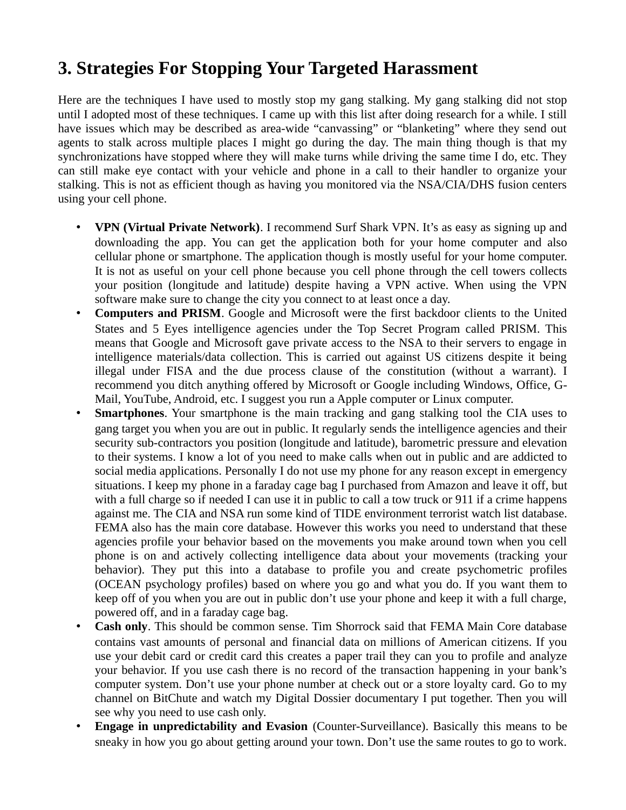# **3. Strategies For Stopping Your Targeted Harassment**

Here are the techniques I have used to mostly stop my gang stalking. My gang stalking did not stop until I adopted most of these techniques. I came up with this list after doing research for a while. I still have issues which may be described as area-wide "canvassing" or "blanketing" where they send out agents to stalk across multiple places I might go during the day. The main thing though is that my synchronizations have stopped where they will make turns while driving the same time I do, etc. They can still make eye contact with your vehicle and phone in a call to their handler to organize your stalking. This is not as efficient though as having you monitored via the NSA/CIA/DHS fusion centers using your cell phone.

- **VPN (Virtual Private Network)**. I recommend Surf Shark VPN. It's as easy as signing up and downloading the app. You can get the application both for your home computer and also cellular phone or smartphone. The application though is mostly useful for your home computer. It is not as useful on your cell phone because you cell phone through the cell towers collects your position (longitude and latitude) despite having a VPN active. When using the VPN software make sure to change the city you connect to at least once a day.
- **Computers and PRISM**. Google and Microsoft were the first backdoor clients to the United States and 5 Eyes intelligence agencies under the Top Secret Program called PRISM. This means that Google and Microsoft gave private access to the NSA to their servers to engage in intelligence materials/data collection. This is carried out against US citizens despite it being illegal under FISA and the due process clause of the constitution (without a warrant). I recommend you ditch anything offered by Microsoft or Google including Windows, Office, G-Mail, YouTube, Android, etc. I suggest you run a Apple computer or Linux computer.
- **Smartphones.** Your smartphone is the main tracking and gang stalking tool the CIA uses to gang target you when you are out in public. It regularly sends the intelligence agencies and their security sub-contractors you position (longitude and latitude), barometric pressure and elevation to their systems. I know a lot of you need to make calls when out in public and are addicted to social media applications. Personally I do not use my phone for any reason except in emergency situations. I keep my phone in a faraday cage bag I purchased from Amazon and leave it off, but with a full charge so if needed I can use it in public to call a tow truck or 911 if a crime happens against me. The CIA and NSA run some kind of TIDE environment terrorist watch list database. FEMA also has the main core database. However this works you need to understand that these agencies profile your behavior based on the movements you make around town when you cell phone is on and actively collecting intelligence data about your movements (tracking your behavior). They put this into a database to profile you and create psychometric profiles (OCEAN psychology profiles) based on where you go and what you do. If you want them to keep off of you when you are out in public don't use your phone and keep it with a full charge, powered off, and in a faraday cage bag.
- **Cash only**. This should be common sense. Tim Shorrock said that FEMA Main Core database contains vast amounts of personal and financial data on millions of American citizens. If you use your debit card or credit card this creates a paper trail they can you to profile and analyze your behavior. If you use cash there is no record of the transaction happening in your bank's computer system. Don't use your phone number at check out or a store loyalty card. Go to my channel on BitChute and watch my Digital Dossier documentary I put together. Then you will see why you need to use cash only.
- **Engage in unpredictability and Evasion** (Counter-Surveillance). Basically this means to be sneaky in how you go about getting around your town. Don't use the same routes to go to work.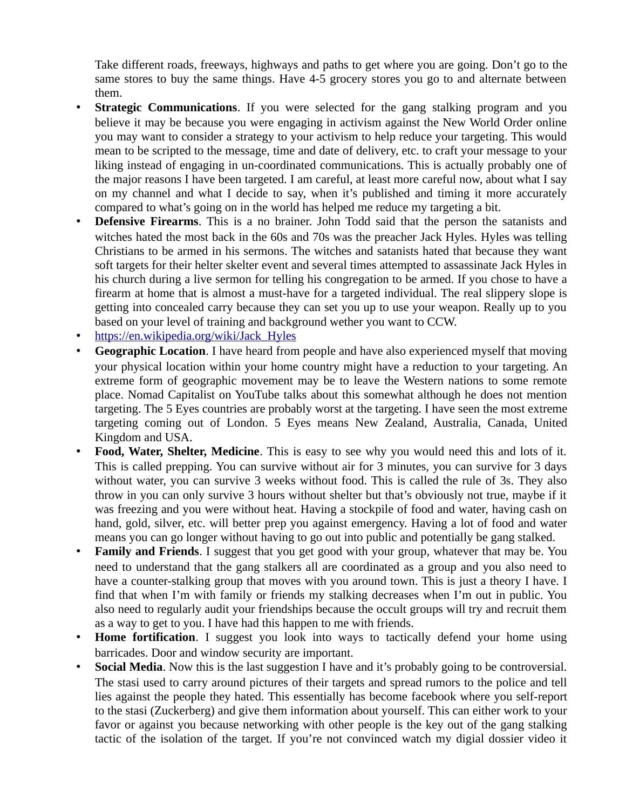Take different roads, freeways, highways and paths to get where you are going. Don't go to the same stores to buy the same things. Have 4-5 grocery stores you go to and alternate between them.

- **Strategic Communications.** If you were selected for the gang stalking program and you believe it may be because you were engaging in activism against the New World Order online you may want to consider a strategy to your activism to help reduce your targeting. This would mean to be scripted to the message, time and date of delivery, etc. to craft your message to your liking instead of engaging in un-coordinated communications. This is actually probably one of the major reasons I have been targeted. I am careful, at least more careful now, about what I say on my channel and what I decide to say, when it's published and timing it more accurately compared to what's going on in the world has helped me reduce my targeting a bit.
- **Defensive Firearms**. This is a no brainer. John Todd said that the person the satanists and witches hated the most back in the 60s and 70s was the preacher Jack Hyles. Hyles was telling Christians to be armed in his sermons. The witches and satanists hated that because they want soft targets for their helter skelter event and several times attempted to assassinate Jack Hyles in his church during a live sermon for telling his congregation to be armed. If you chose to have a firearm at home that is almost a must-have for a targeted individual. The real slippery slope is getting into concealed carry because they can set you up to use your weapon. Really up to you based on your level of training and background wether you want to CCW.
- • [https://en.wikipedia.org/wiki/Jack\\_Hyles](https://en.wikipedia.org/wiki/Jack_Hyles)
- **Geographic Location**. I have heard from people and have also experienced myself that moving your physical location within your home country might have a reduction to your targeting. An extreme form of geographic movement may be to leave the Western nations to some remote place. Nomad Capitalist on YouTube talks about this somewhat although he does not mention targeting. The 5 Eyes countries are probably worst at the targeting. I have seen the most extreme targeting coming out of London. 5 Eyes means New Zealand, Australia, Canada, United Kingdom and USA.
- **Food, Water, Shelter, Medicine**. This is easy to see why you would need this and lots of it. This is called prepping. You can survive without air for 3 minutes, you can survive for 3 days without water, you can survive 3 weeks without food. This is called the rule of 3s. They also throw in you can only survive 3 hours without shelter but that's obviously not true, maybe if it was freezing and you were without heat. Having a stockpile of food and water, having cash on hand, gold, silver, etc. will better prep you against emergency. Having a lot of food and water means you can go longer without having to go out into public and potentially be gang stalked.
- **Family and Friends**. I suggest that you get good with your group, whatever that may be. You need to understand that the gang stalkers all are coordinated as a group and you also need to have a counter-stalking group that moves with you around town. This is just a theory I have. I find that when I'm with family or friends my stalking decreases when I'm out in public. You also need to regularly audit your friendships because the occult groups will try and recruit them as a way to get to you. I have had this happen to me with friends.
- **Home fortification**. I suggest you look into ways to tactically defend your home using barricades. Door and window security are important.
- **Social Media**. Now this is the last suggestion I have and it's probably going to be controversial. The stasi used to carry around pictures of their targets and spread rumors to the police and tell lies against the people they hated. This essentially has become facebook where you self-report to the stasi (Zuckerberg) and give them information about yourself. This can either work to your favor or against you because networking with other people is the key out of the gang stalking tactic of the isolation of the target. If you're not convinced watch my digial dossier video it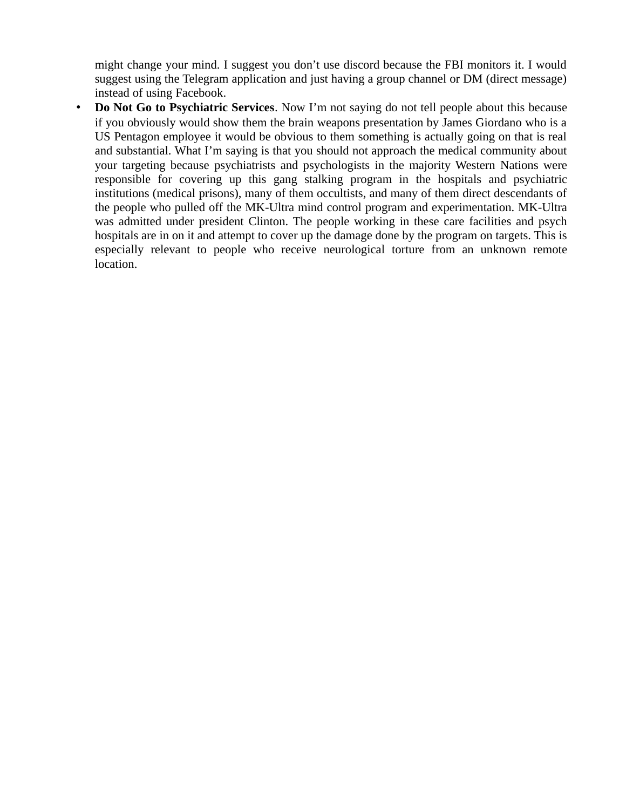might change your mind. I suggest you don't use discord because the FBI monitors it. I would suggest using the Telegram application and just having a group channel or DM (direct message) instead of using Facebook.

• **Do Not Go to Psychiatric Services**. Now I'm not saying do not tell people about this because if you obviously would show them the brain weapons presentation by James Giordano who is a US Pentagon employee it would be obvious to them something is actually going on that is real and substantial. What I'm saying is that you should not approach the medical community about your targeting because psychiatrists and psychologists in the majority Western Nations were responsible for covering up this gang stalking program in the hospitals and psychiatric institutions (medical prisons), many of them occultists, and many of them direct descendants of the people who pulled off the MK-Ultra mind control program and experimentation. MK-Ultra was admitted under president Clinton. The people working in these care facilities and psych hospitals are in on it and attempt to cover up the damage done by the program on targets. This is especially relevant to people who receive neurological torture from an unknown remote location.